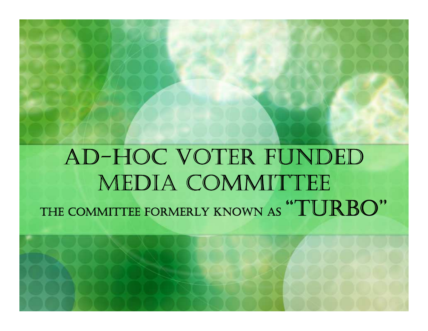#### AD-HOC VOTER FUNDED MEDIA COMMITTEETHE COMMITTEE FORMERLY KNOWN AS "TURBO"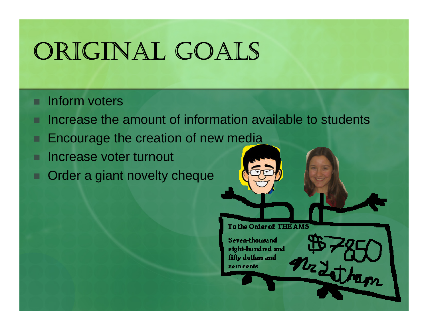# ORIGINAL GOALS

#### п Inform voters

- Increase the amount of information available to students
- Encourage the creation of new media
- п Increase voter turnout
- п Order a giant novelty cheque

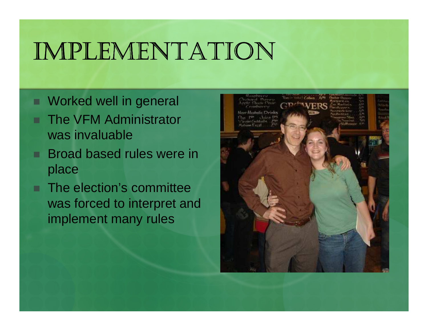## IMPLEMENTATION

- п Worked well in general
- The VFM Administrator was invaluable
- п Broad based rules were in place
- п The election's committee was forced to interpret and implement many rules

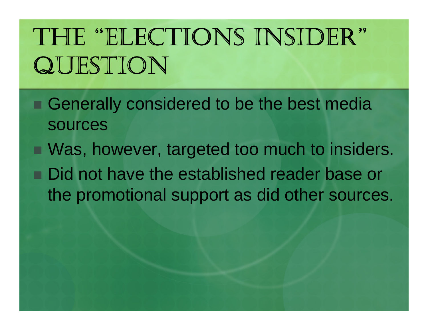# THE "ELECTIONS INSIDER"<br>OLIECTIONI QUESTION

- Generally considered to be the best media sources
- Was, however, targeted too much to insiders. Did not have the established reader base or the promotional support as did other sources.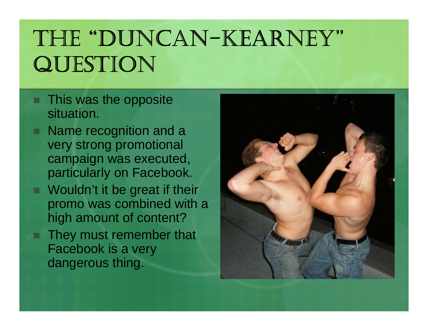## THE "DUNCAN-KEARNEY"<br>OLIESTION QUESTION

- This was the opposite situation.
- Name recognition and a very strong promotional campaign was executed, particularly on Facebook.
- Wouldn't it be great if their promo was combined with a high amount of content?
- They must remember that Facebook is a very dangerous thing.

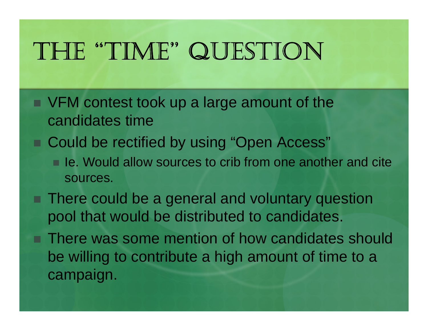## THE "TIME" QUESTION

- VFM contest took up a large amount of the candidates time
- Could be rectified by using "Open Access"
	- Ie. Would allow sources to crib from one another and cite sources.
- There could be a general and voluntary question pool that would be distributed to candidates.
- There was some mention of how candidates should be willing to contribute a high amount of time to acampaign.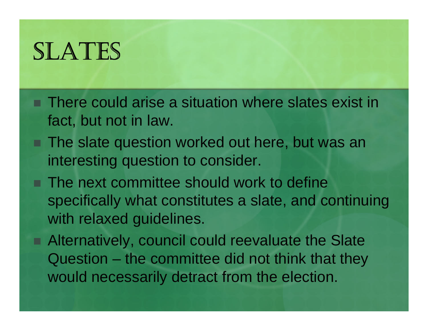## SLATES

- There could arise a situation where slates exist in fact, but not in law.
- The slate question worked out here, but was an interesting question to consider.
- The next committee should work to define specifically what constitutes a slate, and continuing with relaxed guidelines.
- Alternatively, council could reevaluate the Slate Question – the committee did not think that they would necessarily detract from the election.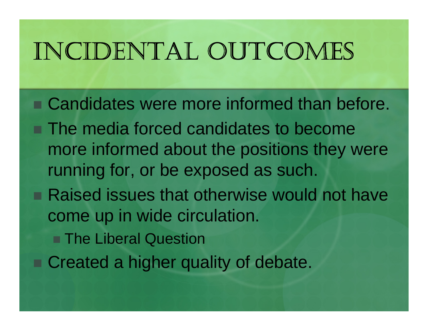## INCIDENTAL OUTCOMES

■ Candidates were more informed than before. ■ The media forced candidates to become more informed about the positions they were running for, or be exposed as such.■ Raised issues that otherwise would not have come up in wide circulation.■ The Liberal Question ■ Created a higher quality of debate.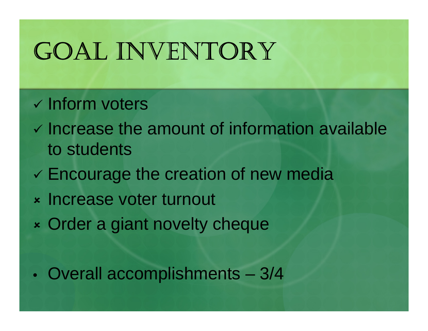## GOAL INVENTORY

#### - Inform voters

- Increase the amount of information available to students
- Encourage the creation of new media
- X Increase voter turnout
- X Order a giant novelty cheque

 $\bullet$ Overall accomplishments – 3/4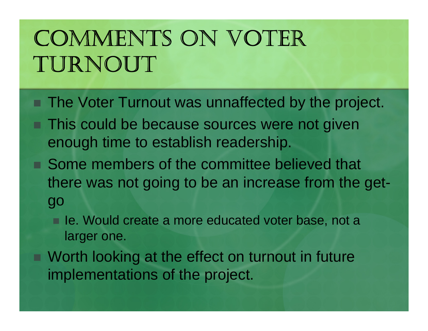## COMMENTS ON VOTER TURNOUT

- The Voter Turnout was unnaffected by the project.
- This could be because sources were not given enough time to establish readership.
- Some members of the committee believed that there was not going to be an increase from the getgo
	- **Ie. Would create a more educated voter base, not a** larger one.
- Worth looking at the effect on turnout in future implementations of the project.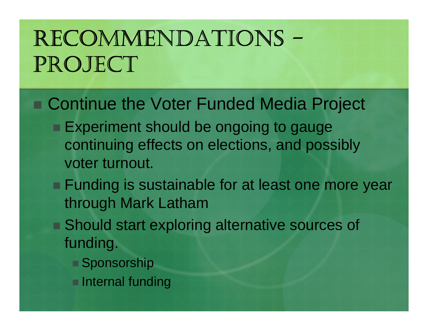## RECOMMENDATIONS -RECUNIVIENDA LIUNS -<br>PROJECT

#### ■ Continue the Voter Funded Media Project

- **Experiment should be ongoing to gauge** continuing effects on elections, and possibly voter turnout.
- **Funding is sustainable for at least one more year** through Mark Latham
- Should start exploring alternative sources of funding.
	- Sponsorship
	- **Internal funding**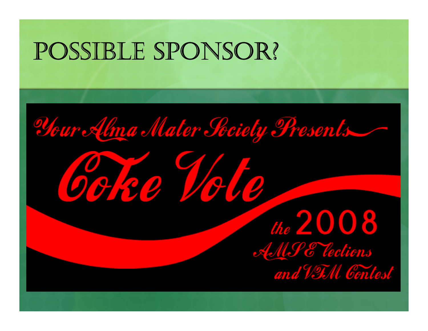## POSSIBLE SPONSOR?

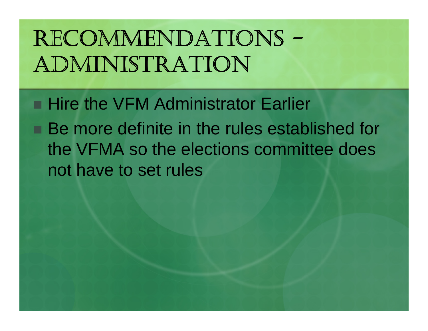## RECOMMENDATIONS --ADMINISTRATION

■ Hire the VFM Administrator Earlier

■ Be more definite in the rules established for the VFMA so the elections committee does not have to set rules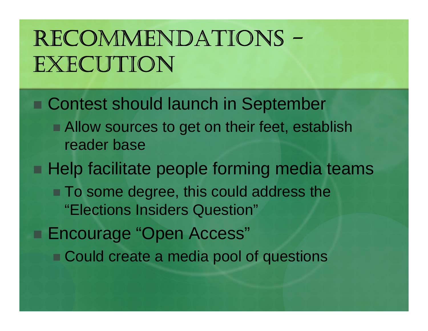## RECOMMENDATIONS -RECUIVILINDATIONS -<br>EXECUTION

■ Contest should launch in September ■ Allow sources to get on their feet, establish reader base**Help facilitate people forming media teams** ■ To some degree, this could address the "Elections Insiders Question"■ Encourage "Open Access" ■ Could create a media pool of questions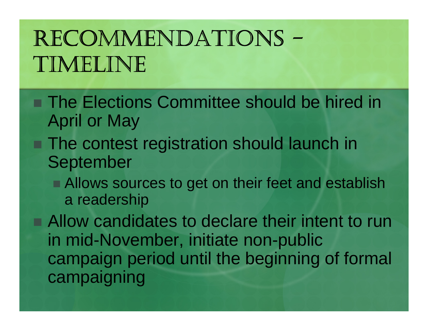## RECOMMENDATIONS -KECUMIVIEINDA I IUINS –<br>TIMELINE

- The Elections Committee should be hired in April or May
- The contest registration should launch in September
	- Allows sources to get on their feet and establish a readership

■ Allow candidates to declare their intent to run in mid-November, initiate non-public campaign period until the beginning of formal campaigning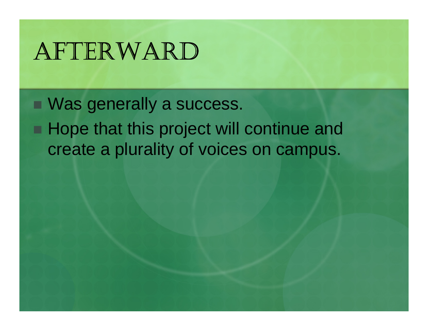## AFTERWARD

■ Was generally a success. **Hope that this project will continue and** create a plurality of voices on campus.